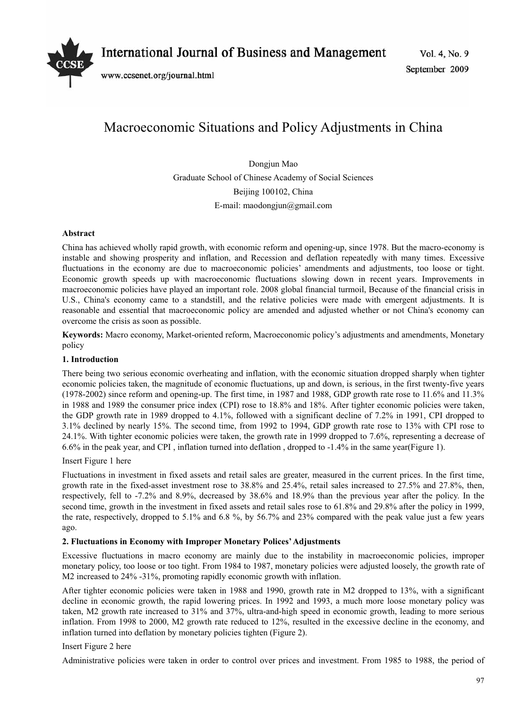

# Macroeconomic Situations and Policy Adjustments in China

Dongjun Mao Graduate School of Chinese Academy of Social Sciences Beijing 100102, China E-mail: maodongjun@gmail.com

## **Abstract**

China has achieved wholly rapid growth, with economic reform and opening-up, since 1978. But the macro-economy is instable and showing prosperity and inflation, and Recession and deflation repeatedly with many times. Excessive fluctuations in the economy are due to macroeconomic policies' amendments and adjustments, too loose or tight. Economic growth speeds up with macroeconomic fluctuations slowing down in recent years. Improvements in macroeconomic policies have played an important role. 2008 global financial turmoil, Because of the financial crisis in U.S., China's economy came to a standstill, and the relative policies were made with emergent adjustments. It is reasonable and essential that macroeconomic policy are amended and adjusted whether or not China's economy can overcome the crisis as soon as possible.

**Keywords:** Macro economy, Market-oriented reform, Macroeconomic policy's adjustments and amendments, Monetary policy

# **1. Introduction**

There being two serious economic overheating and inflation, with the economic situation dropped sharply when tighter economic policies taken, the magnitude of economic fluctuations, up and down, is serious, in the first twenty-five years (1978-2002) since reform and opening-up. The first time, in 1987 and 1988, GDP growth rate rose to 11.6% and 11.3% in 1988 and 1989 the consumer price index (CPI) rose to 18.8% and 18%. After tighter economic policies were taken, the GDP growth rate in 1989 dropped to 4.1%, followed with a significant decline of 7.2% in 1991, CPI dropped to 3.1% declined by nearly 15%. The second time, from 1992 to 1994, GDP growth rate rose to 13% with CPI rose to 24.1%. With tighter economic policies were taken, the growth rate in 1999 dropped to 7.6%, representing a decrease of 6.6% in the peak year, and CPI , inflation turned into deflation , dropped to -1.4% in the same year(Figure 1).

Insert Figure 1 here

Fluctuations in investment in fixed assets and retail sales are greater, measured in the current prices. In the first time, growth rate in the fixed-asset investment rose to 38.8% and 25.4%, retail sales increased to 27.5% and 27.8%, then, respectively, fell to -7.2% and 8.9%, decreased by 38.6% and 18.9% than the previous year after the policy. In the second time, growth in the investment in fixed assets and retail sales rose to 61.8% and 29.8% after the policy in 1999, the rate, respectively, dropped to 5.1% and 6.8 %, by 56.7% and 23% compared with the peak value just a few years ago.

## **2. Fluctuations in Economy with Improper Monetary Polices' Adjustments**

Excessive fluctuations in macro economy are mainly due to the instability in macroeconomic policies, improper monetary policy, too loose or too tight. From 1984 to 1987, monetary policies were adjusted loosely, the growth rate of M2 increased to  $24\%$  -31%, promoting rapidly economic growth with inflation.

After tighter economic policies were taken in 1988 and 1990, growth rate in M2 dropped to 13%, with a significant decline in economic growth, the rapid lowering prices. In 1992 and 1993, a much more loose monetary policy was taken, M2 growth rate increased to 31% and 37%, ultra-and-high speed in economic growth, leading to more serious inflation. From 1998 to 2000, M2 growth rate reduced to 12%, resulted in the excessive decline in the economy, and inflation turned into deflation by monetary policies tighten (Figure 2).

## Insert Figure 2 here

Administrative policies were taken in order to control over prices and investment. From 1985 to 1988, the period of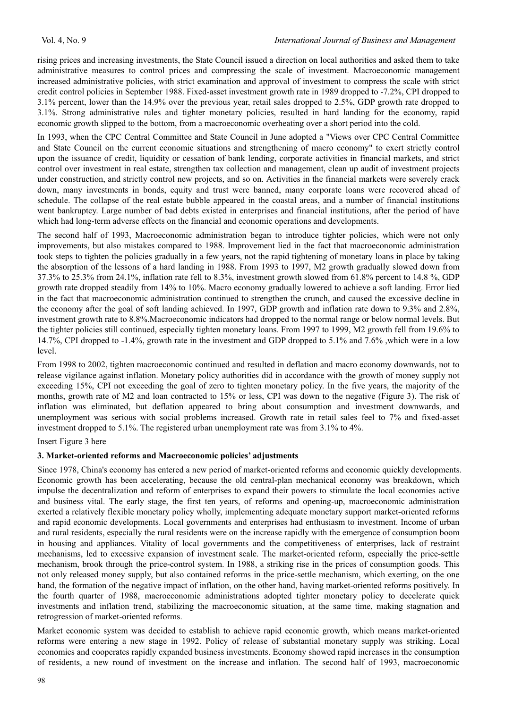rising prices and increasing investments, the State Council issued a direction on local authorities and asked them to take administrative measures to control prices and compressing the scale of investment. Macroeconomic management increased administrative policies, with strict examination and approval of investment to compress the scale with strict credit control policies in September 1988. Fixed-asset investment growth rate in 1989 dropped to -7.2%, CPI dropped to 3.1% percent, lower than the 14.9% over the previous year, retail sales dropped to 2.5%, GDP growth rate dropped to 3.1%. Strong administrative rules and tighter monetary policies, resulted in hard landing for the economy, rapid economic growth slipped to the bottom, from a macroeconomic overheating over a short period into the cold.

In 1993, when the CPC Central Committee and State Council in June adopted a "Views over CPC Central Committee and State Council on the current economic situations and strengthening of macro economy" to exert strictly control upon the issuance of credit, liquidity or cessation of bank lending, corporate activities in financial markets, and strict control over investment in real estate, strengthen tax collection and management, clean up audit of investment projects under construction, and strictly control new projects, and so on. Activities in the financial markets were severely crack down, many investments in bonds, equity and trust were banned, many corporate loans were recovered ahead of schedule. The collapse of the real estate bubble appeared in the coastal areas, and a number of financial institutions went bankruptcy. Large number of bad debts existed in enterprises and financial institutions, after the period of have which had long-term adverse effects on the financial and economic operations and developments.

The second half of 1993, Macroeconomic administration began to introduce tighter policies, which were not only improvements, but also mistakes compared to 1988. Improvement lied in the fact that macroeconomic administration took steps to tighten the policies gradually in a few years, not the rapid tightening of monetary loans in place by taking the absorption of the lessons of a hard landing in 1988. From 1993 to 1997, M2 growth gradually slowed down from 37.3% to 25.3% from 24.1%, inflation rate fell to 8.3%, investment growth slowed from 61.8% percent to 14.8 %, GDP growth rate dropped steadily from 14% to 10%. Macro economy gradually lowered to achieve a soft landing. Error lied in the fact that macroeconomic administration continued to strengthen the crunch, and caused the excessive decline in the economy after the goal of soft landing achieved. In 1997, GDP growth and inflation rate down to 9.3% and 2.8%, investment growth rate to 8.8%.Macroeconomic indicators had dropped to the normal range or below normal levels. But the tighter policies still continued, especially tighten monetary loans. From 1997 to 1999, M2 growth fell from 19.6% to 14.7%, CPI dropped to -1.4%, growth rate in the investment and GDP dropped to 5.1% and 7.6% ,which were in a low level.

From 1998 to 2002, tighten macroeconomic continued and resulted in deflation and macro economy downwards, not to release vigilance against inflation. Monetary policy authorities did in accordance with the growth of money supply not exceeding 15%, CPI not exceeding the goal of zero to tighten monetary policy. In the five years, the majority of the months, growth rate of M2 and loan contracted to 15% or less, CPI was down to the negative (Figure 3). The risk of inflation was eliminated, but deflation appeared to bring about consumption and investment downwards, and unemployment was serious with social problems increased. Growth rate in retail sales feel to 7% and fixed-asset investment dropped to 5.1%. The registered urban unemployment rate was from 3.1% to 4%.

Insert Figure 3 here

#### **3. Market-oriented reforms and Macroeconomic policies' adjustments**

Since 1978, China's economy has entered a new period of market-oriented reforms and economic quickly developments. Economic growth has been accelerating, because the old central-plan mechanical economy was breakdown, which impulse the decentralization and reform of enterprises to expand their powers to stimulate the local economies active and business vital. The early stage, the first ten years, of reforms and opening-up, macroeconomic administration exerted a relatively flexible monetary policy wholly, implementing adequate monetary support market-oriented reforms and rapid economic developments. Local governments and enterprises had enthusiasm to investment. Income of urban and rural residents, especially the rural residents were on the increase rapidly with the emergence of consumption boom in housing and appliances. Vitality of local governments and the competitiveness of enterprises, lack of restraint mechanisms, led to excessive expansion of investment scale. The market-oriented reform, especially the price-settle mechanism, brook through the price-control system. In 1988, a striking rise in the prices of consumption goods. This not only released money supply, but also contained reforms in the price-settle mechanism, which exerting, on the one hand, the formation of the negative impact of inflation, on the other hand, having market-oriented reforms positively. In the fourth quarter of 1988, macroeconomic administrations adopted tighter monetary policy to decelerate quick investments and inflation trend, stabilizing the macroeconomic situation, at the same time, making stagnation and retrogression of market-oriented reforms.

Market economic system was decided to establish to achieve rapid economic growth, which means market-oriented reforms were entering a new stage in 1992. Policy of release of substantial monetary supply was striking. Local economies and cooperates rapidly expanded business investments. Economy showed rapid increases in the consumption of residents, a new round of investment on the increase and inflation. The second half of 1993, macroeconomic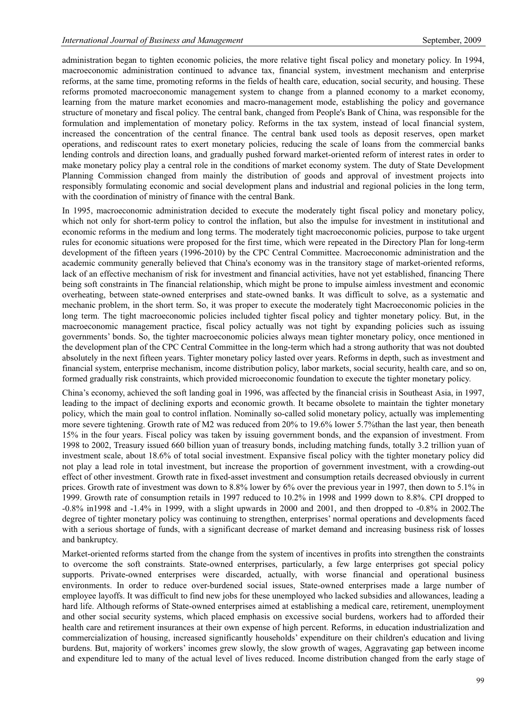administration began to tighten economic policies, the more relative tight fiscal policy and monetary policy. In 1994, macroeconomic administration continued to advance tax, financial system, investment mechanism and enterprise reforms, at the same time, promoting reforms in the fields of health care, education, social security, and housing. These reforms promoted macroeconomic management system to change from a planned economy to a market economy, learning from the mature market economies and macro-management mode, establishing the policy and governance structure of monetary and fiscal policy. The central bank, changed from People's Bank of China, was responsible for the formulation and implementation of monetary policy. Reforms in the tax system, instead of local financial system, increased the concentration of the central finance. The central bank used tools as deposit reserves, open market operations, and rediscount rates to exert monetary policies, reducing the scale of loans from the commercial banks lending controls and direction loans, and gradually pushed forward market-oriented reform of interest rates in order to make monetary policy play a central role in the conditions of market economy system. The duty of State Development Planning Commission changed from mainly the distribution of goods and approval of investment projects into responsibly formulating economic and social development plans and industrial and regional policies in the long term, with the coordination of ministry of finance with the central Bank.

In 1995, macroeconomic administration decided to execute the moderately tight fiscal policy and monetary policy, which not only for short-term policy to control the inflation, but also the impulse for investment in institutional and economic reforms in the medium and long terms. The moderately tight macroeconomic policies, purpose to take urgent rules for economic situations were proposed for the first time, which were repeated in the Directory Plan for long-term development of the fifteen years (1996-2010) by the CPC Central Committee. Macroeconomic administration and the academic community generally believed that China's economy was in the transitory stage of market-oriented reforms, lack of an effective mechanism of risk for investment and financial activities, have not yet established, financing There being soft constraints in The financial relationship, which might be prone to impulse aimless investment and economic overheating, between state-owned enterprises and state-owned banks. It was difficult to solve, as a systematic and mechanic problem, in the short term. So, it was proper to execute the moderately tight Macroeconomic policies in the long term. The tight macroeconomic policies included tighter fiscal policy and tighter monetary policy. But, in the macroeconomic management practice, fiscal policy actually was not tight by expanding policies such as issuing governments' bonds. So, the tighter macroeconomic policies always mean tighter monetary policy, once mentioned in the development plan of the CPC Central Committee in the long-term which had a strong authority that was not doubted absolutely in the next fifteen years. Tighter monetary policy lasted over years. Reforms in depth, such as investment and financial system, enterprise mechanism, income distribution policy, labor markets, social security, health care, and so on, formed gradually risk constraints, which provided microeconomic foundation to execute the tighter monetary policy.

China's economy, achieved the soft landing goal in 1996, was affected by the financial crisis in Southeast Asia, in 1997, leading to the impact of declining exports and economic growth. It became obsolete to maintain the tighter monetary policy, which the main goal to control inflation. Nominally so-called solid monetary policy, actually was implementing more severe tightening. Growth rate of M2 was reduced from 20% to 19.6% lower 5.7%than the last year, then beneath 15% in the four years. Fiscal policy was taken by issuing government bonds, and the expansion of investment. From 1998 to 2002, Treasury issued 660 billion yuan of treasury bonds, including matching funds, totally 3.2 trillion yuan of investment scale, about 18.6% of total social investment. Expansive fiscal policy with the tighter monetary policy did not play a lead role in total investment, but increase the proportion of government investment, with a crowding-out effect of other investment. Growth rate in fixed-asset investment and consumption retails decreased obviously in current prices. Growth rate of investment was down to 8.8% lower by 6% over the previous year in 1997, then down to 5.1% in 1999. Growth rate of consumption retails in 1997 reduced to 10.2% in 1998 and 1999 down to 8.8%. CPI dropped to -0.8% in1998 and -1.4% in 1999, with a slight upwards in 2000 and 2001, and then dropped to -0.8% in 2002.The degree of tighter monetary policy was continuing to strengthen, enterprises' normal operations and developments faced with a serious shortage of funds, with a significant decrease of market demand and increasing business risk of losses and bankruptcy.

Market-oriented reforms started from the change from the system of incentives in profits into strengthen the constraints to overcome the soft constraints. State-owned enterprises, particularly, a few large enterprises got special policy supports. Private-owned enterprises were discarded, actually, with worse financial and operational business environments. In order to reduce over-burdened social issues, State-owned enterprises made a large number of employee layoffs. It was difficult to find new jobs for these unemployed who lacked subsidies and allowances, leading a hard life. Although reforms of State-owned enterprises aimed at establishing a medical care, retirement, unemployment and other social security systems, which placed emphasis on excessive social burdens, workers had to afforded their health care and retirement insurances at their own expense of high percent. Reforms, in education industrialization and commercialization of housing, increased significantly households' expenditure on their children's education and living burdens. But, majority of workers' incomes grew slowly, the slow growth of wages, Aggravating gap between income and expenditure led to many of the actual level of lives reduced. Income distribution changed from the early stage of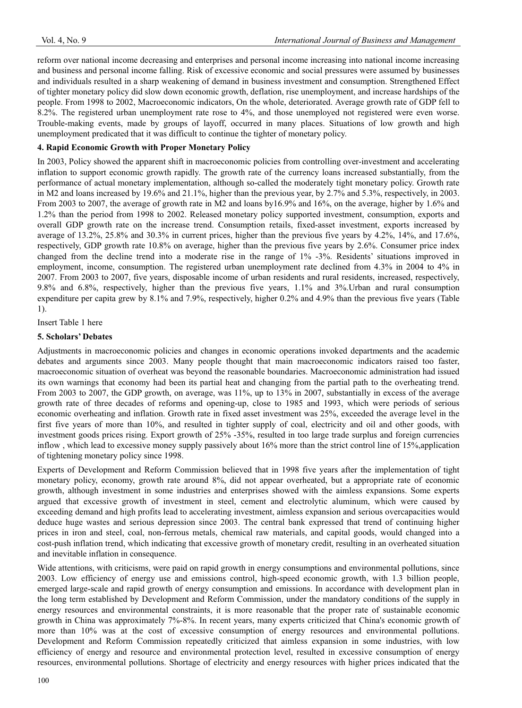reform over national income decreasing and enterprises and personal income increasing into national income increasing and business and personal income falling. Risk of excessive economic and social pressures were assumed by businesses and individuals resulted in a sharp weakening of demand in business investment and consumption. Strengthened Effect of tighter monetary policy did slow down economic growth, deflation, rise unemployment, and increase hardships of the people. From 1998 to 2002, Macroeconomic indicators, On the whole, deteriorated. Average growth rate of GDP fell to 8.2%. The registered urban unemployment rate rose to 4%, and those unemployed not registered were even worse. Trouble-making events, made by groups of layoff, occurred in many places. Situations of low growth and high unemployment predicated that it was difficult to continue the tighter of monetary policy.

#### **4. Rapid Economic Growth with Proper Monetary Policy**

In 2003, Policy showed the apparent shift in macroeconomic policies from controlling over-investment and accelerating inflation to support economic growth rapidly. The growth rate of the currency loans increased substantially, from the performance of actual monetary implementation, although so-called the moderately tight monetary policy. Growth rate in M2 and loans increased by 19.6% and 21.1%, higher than the previous year, by 2.7% and 5.3%, respectively, in 2003. From 2003 to 2007, the average of growth rate in M2 and loans by16.9% and 16%, on the average, higher by 1.6% and 1.2% than the period from 1998 to 2002. Released monetary policy supported investment, consumption, exports and overall GDP growth rate on the increase trend. Consumption retails, fixed-asset investment, exports increased by average of 13.2%, 25.8% and 30.3% in current prices, higher than the previous five years by 4.2%, 14%, and 17.6%, respectively, GDP growth rate 10.8% on average, higher than the previous five years by 2.6%. Consumer price index changed from the decline trend into a moderate rise in the range of 1% -3%. Residents' situations improved in employment, income, consumption. The registered urban unemployment rate declined from 4.3% in 2004 to 4% in 2007. From 2003 to 2007, five years, disposable income of urban residents and rural residents, increased, respectively, 9.8% and 6.8%, respectively, higher than the previous five years, 1.1% and 3%.Urban and rural consumption expenditure per capita grew by 8.1% and 7.9%, respectively, higher 0.2% and 4.9% than the previous five years (Table 1).

Insert Table 1 here

#### **5. Scholars' Debates**

Adjustments in macroeconomic policies and changes in economic operations invoked departments and the academic debates and arguments since 2003. Many people thought that main macroeconomic indicators raised too faster, macroeconomic situation of overheat was beyond the reasonable boundaries. Macroeconomic administration had issued its own warnings that economy had been its partial heat and changing from the partial path to the overheating trend. From 2003 to 2007, the GDP growth, on average, was 11%, up to 13% in 2007, substantially in excess of the average growth rate of three decades of reforms and opening-up, close to 1985 and 1993, which were periods of serious economic overheating and inflation. Growth rate in fixed asset investment was 25%, exceeded the average level in the first five years of more than 10%, and resulted in tighter supply of coal, electricity and oil and other goods, with investment goods prices rising. Export growth of 25% -35%, resulted in too large trade surplus and foreign currencies inflow , which lead to excessive money supply passively about 16% more than the strict control line of 15%,application of tightening monetary policy since 1998.

Experts of Development and Reform Commission believed that in 1998 five years after the implementation of tight monetary policy, economy, growth rate around 8%, did not appear overheated, but a appropriate rate of economic growth, although investment in some industries and enterprises showed with the aimless expansions. Some experts argued that excessive growth of investment in steel, cement and electrolytic aluminum, which were caused by exceeding demand and high profits lead to accelerating investment, aimless expansion and serious overcapacities would deduce huge wastes and serious depression since 2003. The central bank expressed that trend of continuing higher prices in iron and steel, coal, non-ferrous metals, chemical raw materials, and capital goods, would changed into a cost-push inflation trend, which indicating that excessive growth of monetary credit, resulting in an overheated situation and inevitable inflation in consequence.

Wide attentions, with criticisms, were paid on rapid growth in energy consumptions and environmental pollutions, since 2003. Low efficiency of energy use and emissions control, high-speed economic growth, with 1.3 billion people, emerged large-scale and rapid growth of energy consumption and emissions. In accordance with development plan in the long term established by Development and Reform Commission, under the mandatory conditions of the supply in energy resources and environmental constraints, it is more reasonable that the proper rate of sustainable economic growth in China was approximately 7%-8%. In recent years, many experts criticized that China's economic growth of more than 10% was at the cost of excessive consumption of energy resources and environmental pollutions. Development and Reform Commission repeatedly criticized that aimless expansion in some industries, with low efficiency of energy and resource and environmental protection level, resulted in excessive consumption of energy resources, environmental pollutions. Shortage of electricity and energy resources with higher prices indicated that the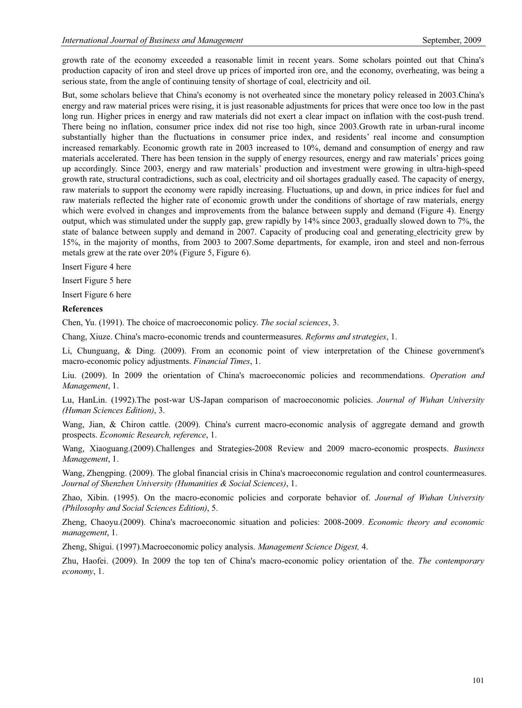growth rate of the economy exceeded a reasonable limit in recent years. Some scholars pointed out that China's production capacity of iron and steel drove up prices of imported iron ore, and the economy, overheating, was being a serious state, from the angle of continuing tensity of shortage of coal, electricity and oil.

But, some scholars believe that China's economy is not overheated since the monetary policy released in 2003.China's energy and raw material prices were rising, it is just reasonable adjustments for prices that were once too low in the past long run. Higher prices in energy and raw materials did not exert a clear impact on inflation with the cost-push trend. There being no inflation, consumer price index did not rise too high, since 2003.Growth rate in urban-rural income substantially higher than the fluctuations in consumer price index, and residents' real income and consumption increased remarkably. Economic growth rate in 2003 increased to 10%, demand and consumption of energy and raw materials accelerated. There has been tension in the supply of energy resources, energy and raw materials' prices going up accordingly. Since 2003, energy and raw materials' production and investment were growing in ultra-high-speed growth rate, structural contradictions, such as coal, electricity and oil shortages gradually eased. The capacity of energy, raw materials to support the economy were rapidly increasing. Fluctuations, up and down, in price indices for fuel and raw materials reflected the higher rate of economic growth under the conditions of shortage of raw materials, energy which were evolved in changes and improvements from the balance between supply and demand (Figure 4). Energy output, which was stimulated under the supply gap, grew rapidly by 14% since 2003, gradually slowed down to 7%, the state of balance between supply and demand in 2007. Capacity of producing coal and generating electricity grew by 15%, in the majority of months, from 2003 to 2007.Some departments, for example, iron and steel and non-ferrous metals grew at the rate over 20% (Figure 5, Figure 6).

Insert Figure 4 here

Insert Figure 5 here

Insert Figure 6 here

#### **References**

Chen, Yu. (1991). The choice of macroeconomic policy. *The social sciences*, 3.

Chang, Xiuze. China's macro-economic trends and countermeasures. *Reforms and strategies*, 1.

Li, Chunguang, & Ding. (2009). From an economic point of view interpretation of the Chinese government's macro-economic policy adjustments. *Financial Times*, 1.

Liu. (2009). In 2009 the orientation of China's macroeconomic policies and recommendations. *Operation and Management*, 1.

Lu, HanLin. (1992).The post-war US-Japan comparison of macroeconomic policies. *Journal of Wuhan University (Human Sciences Edition)*, 3.

Wang, Jian, & Chiron cattle. (2009). China's current macro-economic analysis of aggregate demand and growth prospects. *Economic Research, reference*, 1.

Wang, Xiaoguang.(2009).Challenges and Strategies-2008 Review and 2009 macro-economic prospects. *Business Management*, 1.

Wang, Zhengping. (2009). The global financial crisis in China's macroeconomic regulation and control countermeasures. *Journal of Shenzhen University (Humanities & Social Sciences)*, 1.

Zhao, Xibin. (1995). On the macro-economic policies and corporate behavior of. *Journal of Wuhan University (Philosophy and Social Sciences Edition)*, 5.

Zheng, Chaoyu.(2009). China's macroeconomic situation and policies: 2008-2009. *Economic theory and economic management*, 1.

Zheng, Shigui. (1997).Macroeconomic policy analysis. *Management Science Digest,* 4.

Zhu, Haofei. (2009). In 2009 the top ten of China's macro-economic policy orientation of the. *The contemporary economy*, 1.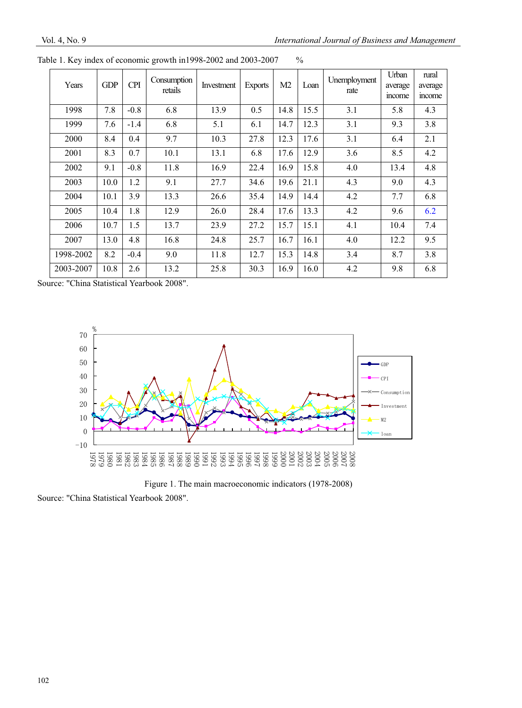| Years     | <b>GDP</b> | <b>CPI</b> | Consumption<br>retails | Investment | <b>Exports</b> | M2   | Loan | Unemployment<br>rate | Urban<br>average<br>income | rural<br>average<br>income |
|-----------|------------|------------|------------------------|------------|----------------|------|------|----------------------|----------------------------|----------------------------|
| 1998      | 7.8        | $-0.8$     | 6.8                    | 13.9       | 0.5            | 14.8 | 15.5 | 3.1                  | 5.8                        | 4.3                        |
| 1999      | 7.6        | $-1.4$     | 6.8                    | 5.1        | 6.1            | 14.7 | 12.3 | 3.1                  | 9.3                        | 3.8                        |
| 2000      | 8.4        | 0.4        | 9.7                    | 10.3       | 27.8           | 12.3 | 17.6 | 3.1                  | 6.4                        | 2.1                        |
| 2001      | 8.3        | 0.7        | 10.1                   | 13.1       | 6.8            | 17.6 | 12.9 | 3.6                  | 8.5                        | 4.2                        |
| 2002      | 9.1        | $-0.8$     | 11.8                   | 16.9       | 22.4           | 16.9 | 15.8 | 4.0                  | 13.4                       | 4.8                        |
| 2003      | 10.0       | 1.2        | 9.1                    | 27.7       | 34.6           | 19.6 | 21.1 | 4.3                  | 9.0                        | 4.3                        |
| 2004      | 10.1       | 3.9        | 13.3                   | 26.6       | 35.4           | 14.9 | 14.4 | 4.2                  | 7.7                        | 6.8                        |
| 2005      | 10.4       | 1.8        | 12.9                   | 26.0       | 28.4           | 17.6 | 13.3 | 4.2                  | 9.6                        | 6.2                        |
| 2006      | 10.7       | 1.5        | 13.7                   | 23.9       | 27.2           | 15.7 | 15.1 | 4.1                  | 10.4                       | 7.4                        |
| 2007      | 13.0       | 4.8        | 16.8                   | 24.8       | 25.7           | 16.7 | 16.1 | 4.0                  | 12.2                       | 9.5                        |
| 1998-2002 | 8.2        | $-0.4$     | 9.0                    | 11.8       | 12.7           | 15.3 | 14.8 | 3.4                  | 8.7                        | 3.8                        |
| 2003-2007 | 10.8       | 2.6        | 13.2                   | 25.8       | 30.3           | 16.9 | 16.0 | 4.2                  | 9.8                        | 6.8                        |

|  |  |  |  |  |  |  | Table 1. Key index of economic growth in 1998-2002 and 2003-2007 | $\frac{0}{0}$ |
|--|--|--|--|--|--|--|------------------------------------------------------------------|---------------|
|--|--|--|--|--|--|--|------------------------------------------------------------------|---------------|

Source: "China Statistical Yearbook 2008".



Figure 1. The main macroeconomic indicators (1978-2008)

Source: "China Statistical Yearbook 2008".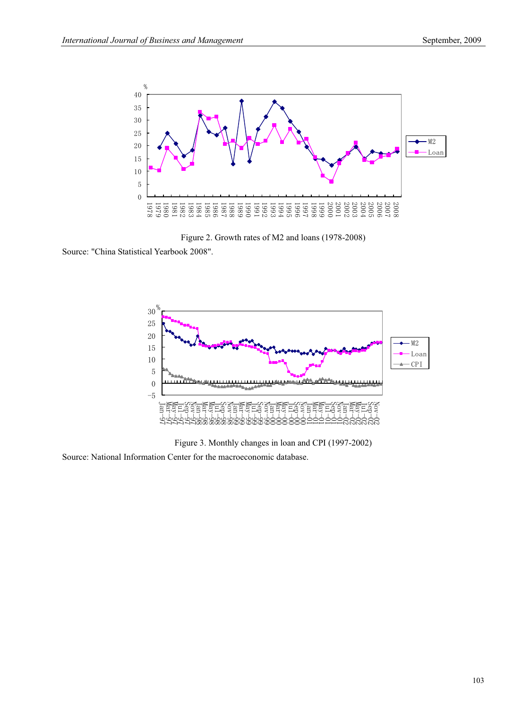

Figure 2. Growth rates of M2 and loans (1978-2008)

Source: "China Statistical Yearbook 2008".



Figure 3. Monthly changes in loan and CPI (1997-2002)

Source: National Information Center for the macroeconomic database.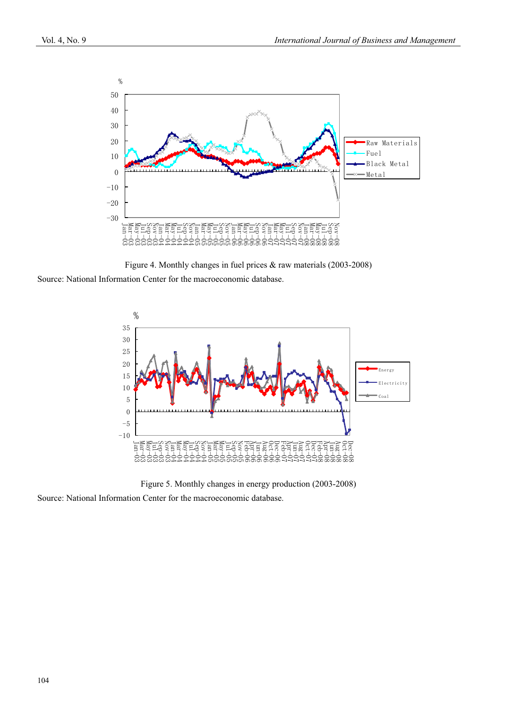

Figure 4. Monthly changes in fuel prices & raw materials (2003-2008) Source: National Information Center for the macroeconomic database.



Figure 5. Monthly changes in energy production (2003-2008)

Source: National Information Center for the macroeconomic database.